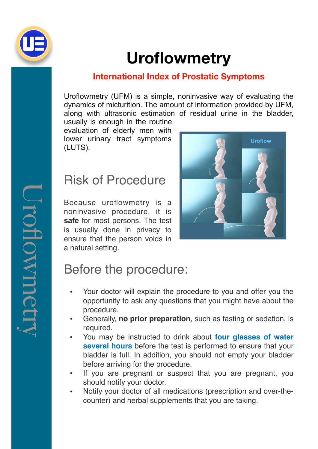

# **Uroflowmetry**

#### **International Index of Prostatic Symptoms**

Uroflowmetry (UFM) is a simple, noninvasive way of evaluating the dynamics of micturition. The amount of information provided by UFM, along with ultrasonic estimation of residual urine in the bladder,

usually is enough in the routine evaluation of elderly men with lower urinary tract symptoms (LUTS).

#### Risk of Procedure

Because uroflowmetry is a noninvasive procedure, it is **safe** for most persons. The test is usually done in privacy to ensure that the person voids in a natural setting.



# Before the procedure:

- Your doctor will explain the procedure to you and offer you the opportunity to ask any questions that you might have about the procedure.
- Generally, **no prior preparation**, such as fasting or sedation, is required.
- You may be instructed to drink about **four glasses of water several hours** before the test is performed to ensure that your bladder is full. In addition, you should not empty your bladder before arriving for the procedure.
- If you are pregnant or suspect that you are pregnant, you should notify your doctor.
- Notify your doctor of all medications (prescription and over-thecounter) and herbal supplements that you are taking.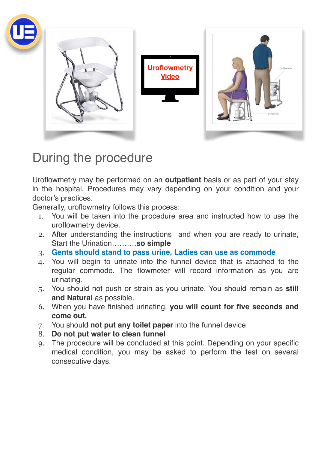

### During the procedure

Uroflowmetry may be performed on an **outpatient** basis or as part of your stay in the hospital. Procedures may vary depending on your condition and your doctor's practices.

Generally, uroflowmetry follows this process:

- 1. You will be taken into the procedure area and instructed how to use the uroflowmetry device.
- 2. After understanding the instructions and when you are ready to urinate, Start the Urination……….**so simple**
- 3. **Gents should stand to pass urine, Ladies can use as commode**
- 4. You will begin to urinate into the funnel device that is attached to the regular commode. The flowmeter will record information as you are urinating.
- 5. You should not push or strain as you urinate. You should remain as **still and Natural** as possible.
- 6. When you have finished urinating, **you will count for five seconds and come out.**
- 7. You should **not put any toilet paper** into the funnel device
- 8. **Do not put water to clean funnel**
- 9. The procedure will be concluded at this point. Depending on your specific medical condition, you may be asked to perform the test on several consecutive days.